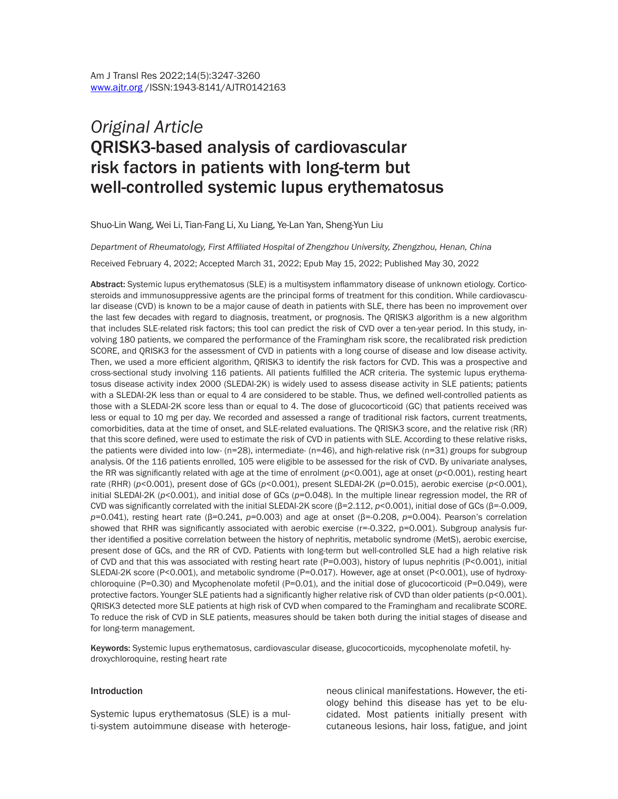# *Original Article* QRISK3-based analysis of cardiovascular risk factors in patients with long-term but well-controlled systemic lupus erythematosus

Shuo-Lin Wang, Wei Li, Tian-Fang Li, Xu Liang, Ye-Lan Yan, Sheng-Yun Liu

*Department of Rheumatology, First Affiliated Hospital of Zhengzhou University, Zhengzhou, Henan, China* 

Received February 4, 2022; Accepted March 31, 2022; Epub May 15, 2022; Published May 30, 2022

Abstract: Systemic lupus erythematosus (SLE) is a multisystem inflammatory disease of unknown etiology. Corticosteroids and immunosuppressive agents are the principal forms of treatment for this condition. While cardiovascular disease (CVD) is known to be a major cause of death in patients with SLE, there has been no improvement over the last few decades with regard to diagnosis, treatment, or prognosis. The QRISK3 algorithm is a new algorithm that includes SLE-related risk factors; this tool can predict the risk of CVD over a ten-year period. In this study, involving 180 patients, we compared the performance of the Framingham risk score, the recalibrated risk prediction SCORE, and QRISK3 for the assessment of CVD in patients with a long course of disease and low disease activity. Then, we used a more efficient algorithm, QRISK3 to identify the risk factors for CVD. This was a prospective and cross-sectional study involving 116 patients. All patients fulfilled the ACR criteria. The systemic lupus erythematosus disease activity index 2000 (SLEDAI-2K) is widely used to assess disease activity in SLE patients; patients with a SLEDAI-2K less than or equal to 4 are considered to be stable. Thus, we defined well-controlled patients as those with a SLEDAI-2K score less than or equal to 4. The dose of glucocorticoid (GC) that patients received was less or equal to 10 mg per day. We recorded and assessed a range of traditional risk factors, current treatments, comorbidities, data at the time of onset, and SLE-related evaluations. The QRISK3 score, and the relative risk (RR) that this score defined, were used to estimate the risk of CVD in patients with SLE. According to these relative risks, the patients were divided into low- (n=28), intermediate- (n=46), and high-relative risk (n=31) groups for subgroup analysis. Of the 116 patients enrolled, 105 were eligible to be assessed for the risk of CVD. By univariate analyses, the RR was significantly related with age at the time of enrolment (*p*<0.001), age at onset (*p*<0.001), resting heart rate (RHR) (*p*<0.001), present dose of GCs (*p*<0.001), present SLEDAI-2K (*p*=0.015), aerobic exercise (*p*<0.001), initial SLEDAI-2K (*p*<0.001), and initial dose of GCs (*p*=0.048). In the multiple linear regression model, the RR of CVD was significantly correlated with the initial SLEDAI-2K score (β=2.112, *p*<0.001), initial dose of GCs (β=-0.009, *p*=0.041), resting heart rate (β=0.241, *p*=0.003) and age at onset (β=-0.208, *p*=0.004). Pearson's correlation showed that RHR was significantly associated with aerobic exercise (r=-0.322, p=0.001). Subgroup analysis further identified a positive correlation between the history of nephritis, metabolic syndrome (MetS), aerobic exercise, present dose of GCs, and the RR of CVD. Patients with long-term but well-controlled SLE had a high relative risk of CVD and that this was associated with resting heart rate (P=0.003), history of lupus nephritis (P<0.001), initial SLEDAI-2K score (P<0.001), and metabolic syndrome (P=0.017). However, age at onset (P<0.001), use of hydroxychloroquine (P=0.30) and Mycophenolate mofetil (P=0.01), and the initial dose of glucocorticoid (P=0.049), were protective factors. Younger SLE patients had a significantly higher relative risk of CVD than older patients (p<0.001). QRISK3 detected more SLE patients at high risk of CVD when compared to the Framingham and recalibrate SCORE. To reduce the risk of CVD in SLE patients, measures should be taken both during the initial stages of disease and for long-term management.

Keywords: Systemic lupus erythematosus, cardiovascular disease, glucocorticoids, mycophenolate mofetil, hydroxychloroquine, resting heart rate

#### **Introduction**

Systemic lupus erythematosus (SLE) is a multi-system autoimmune disease with heterogeneous clinical manifestations. However, the etiology behind this disease has yet to be elucidated. Most patients initially present with cutaneous lesions, hair loss, fatigue, and joint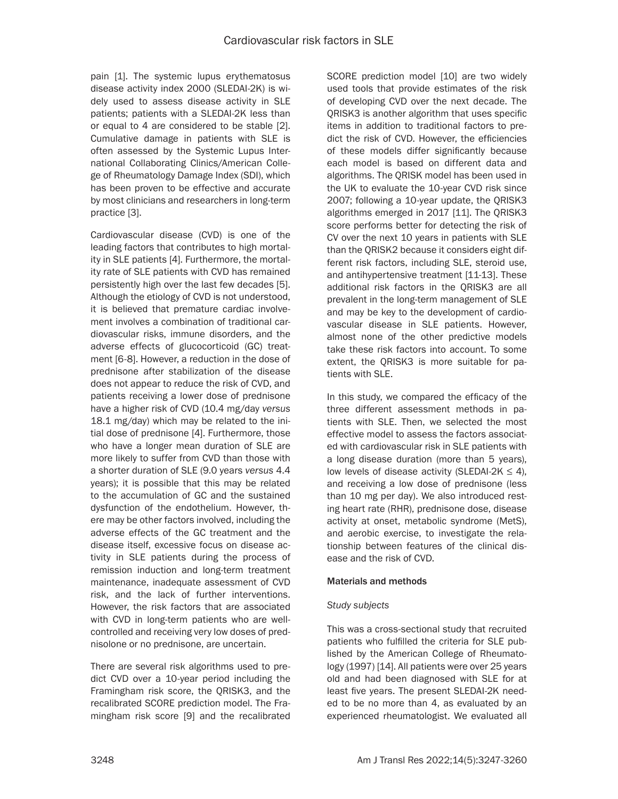pain [1]. The systemic lupus erythematosus disease activity index 2000 (SLEDAI-2K) is widely used to assess disease activity in SLE patients; patients with a SLEDAI-2K less than or equal to 4 are considered to be stable [2]. Cumulative damage in patients with SLE is often assessed by the Systemic Lupus International Collaborating Clinics/American College of Rheumatology Damage Index (SDI), which has been proven to be effective and accurate by most clinicians and researchers in long-term practice [3].

Cardiovascular disease (CVD) is one of the leading factors that contributes to high mortality in SLE patients [4]. Furthermore, the mortality rate of SLE patients with CVD has remained persistently high over the last few decades [5]. Although the etiology of CVD is not understood, it is believed that premature cardiac involvement involves a combination of traditional cardiovascular risks, immune disorders, and the adverse effects of glucocorticoid (GC) treatment [6-8]. However, a reduction in the dose of prednisone after stabilization of the disease does not appear to reduce the risk of CVD, and patients receiving a lower dose of prednisone have a higher risk of CVD (10.4 mg/day *versus* 18.1 mg/day) which may be related to the initial dose of prednisone [4]. Furthermore, those who have a longer mean duration of SLE are more likely to suffer from CVD than those with a shorter duration of SLE (9.0 years *versus* 4.4 years); it is possible that this may be related to the accumulation of GC and the sustained dysfunction of the endothelium. However, there may be other factors involved, including the adverse effects of the GC treatment and the disease itself, excessive focus on disease activity in SLE patients during the process of remission induction and long-term treatment maintenance, inadequate assessment of CVD risk, and the lack of further interventions. However, the risk factors that are associated with CVD in long-term patients who are wellcontrolled and receiving very low doses of prednisolone or no prednisone, are uncertain.

There are several risk algorithms used to predict CVD over a 10-year period including the Framingham risk score, the QRISK3, and the recalibrated SCORE prediction model. The Framingham risk score [9] and the recalibrated SCORE prediction model [10] are two widely used tools that provide estimates of the risk of developing CVD over the next decade. The QRISK3 is another algorithm that uses specific items in addition to traditional factors to predict the risk of CVD. However, the efficiencies of these models differ significantly because each model is based on different data and algorithms. The QRISK model has been used in the UK to evaluate the 10-year CVD risk since 2007; following a 10-year update, the QRISK3 algorithms emerged in 2017 [11]. The QRISK3 score performs better for detecting the risk of CV over the next 10 years in patients with SLE than the QRISK2 because it considers eight different risk factors, including SLE, steroid use, and antihypertensive treatment [11-13]. These additional risk factors in the QRISK3 are all prevalent in the long-term management of SLE and may be key to the development of cardiovascular disease in SLE patients. However, almost none of the other predictive models take these risk factors into account. To some extent, the QRISK3 is more suitable for patients with SLE.

In this study, we compared the efficacy of the three different assessment methods in patients with SLE. Then, we selected the most effective model to assess the factors associated with cardiovascular risk in SLE patients with a long disease duration (more than 5 years), low levels of disease activity (SLEDAI-2K  $\leq$  4), and receiving a low dose of prednisone (less than 10 mg per day). We also introduced resting heart rate (RHR), prednisone dose, disease activity at onset, metabolic syndrome (MetS), and aerobic exercise, to investigate the relationship between features of the clinical disease and the risk of CVD.

# Materials and methods

# *Study subjects*

This was a cross-sectional study that recruited patients who fulfilled the criteria for SLE published by the American College of Rheumatology (1997) [14]. All patients were over 25 years old and had been diagnosed with SLE for at least five years. The present SLEDAI-2K needed to be no more than 4, as evaluated by an experienced rheumatologist. We evaluated all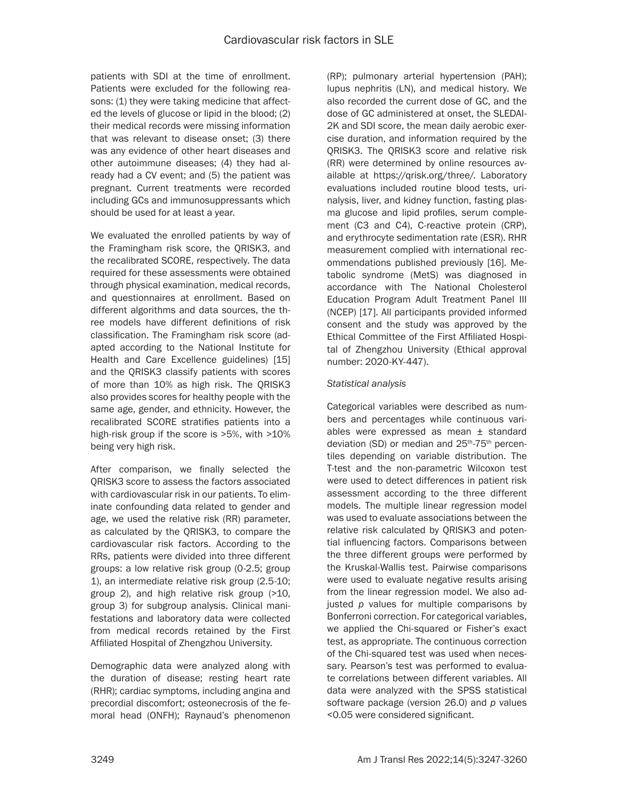patients with SDI at the time of enrollment. Patients were excluded for the following reasons: (1) they were taking medicine that affected the levels of glucose or lipid in the blood; (2) their medical records were missing information that was relevant to disease onset; (3) there was any evidence of other heart diseases and other autoimmune diseases; (4) they had already had a CV event; and (5) the patient was pregnant. Current treatments were recorded including GCs and immunosuppressants which should be used for at least a year.

We evaluated the enrolled patients by way of the Framingham risk score, the QRISK3, and the recalibrated SCORE, respectively. The data required for these assessments were obtained through physical examination, medical records, and questionnaires at enrollment. Based on different algorithms and data sources, the three models have different definitions of risk classification. The Framingham risk score (adapted according to the National Institute for Health and Care Excellence guidelines) [15] and the QRISK3 classify patients with scores of more than 10% as high risk. The QRISK3 also provides scores for healthy people with the same age, gender, and ethnicity. However, the recalibrated SCORE stratifies patients into a high-risk group if the score is >5%, with >10% being very high risk.

After comparison, we finally selected the QRISK3 score to assess the factors associated with cardiovascular risk in our patients. To eliminate confounding data related to gender and age, we used the relative risk (RR) parameter, as calculated by the QRISK3, to compare the cardiovascular risk factors. According to the RRs, patients were divided into three different groups: a low relative risk group (0-2.5; group 1), an intermediate relative risk group (2.5-10; group 2), and high relative risk group (>10, group 3) for subgroup analysis. Clinical manifestations and laboratory data were collected from medical records retained by the First Affiliated Hospital of Zhengzhou University.

Demographic data were analyzed along with the duration of disease; resting heart rate (RHR); cardiac symptoms, including angina and precordial discomfort; osteonecrosis of the femoral head (ONFH); Raynaud's phenomenon (RP); pulmonary arterial hypertension (PAH); lupus nephritis (LN), and medical history. We also recorded the current dose of GC, and the dose of GC administered at onset, the SLEDAI-2K and SDI score, the mean daily aerobic exercise duration, and information required by the QRISK3. The QRISK3 score and relative risk (RR) were determined by online resources available at https://qrisk.org/three/. Laboratory evaluations included routine blood tests, urinalysis, liver, and kidney function, fasting plasma glucose and lipid profiles, serum complement (C3 and C4), C-reactive protein (CRP), and erythrocyte sedimentation rate (ESR). RHR measurement complied with international recommendations published previously [16]. Metabolic syndrome (MetS) was diagnosed in accordance with The National Cholesterol Education Program Adult Treatment Panel III (NCEP) [17]. All participants provided informed consent and the study was approved by the Ethical Committee of the First Affiliated Hospital of Zhengzhou University (Ethical approval number: 2020-KY-447).

# *Statistical analysis*

Categorical variables were described as numbers and percentages while continuous variables were expressed as mean ± standard deviation (SD) or median and 25<sup>th</sup>-75<sup>th</sup> percentiles depending on variable distribution. The T-test and the non-parametric Wilcoxon test were used to detect differences in patient risk assessment according to the three different models. The multiple linear regression model was used to evaluate associations between the relative risk calculated by QRISK3 and potential influencing factors. Comparisons between the three different groups were performed by the Kruskal-Wallis test. Pairwise comparisons were used to evaluate negative results arising from the linear regression model. We also adjusted *p* values for multiple comparisons by Bonferroni correction. For categorical variables, we applied the Chi-squared or Fisher's exact test, as appropriate. The continuous correction of the Chi-squared test was used when necessary. Pearson's test was performed to evaluate correlations between different variables. All data were analyzed with the SPSS statistical software package (version 26.0) and *p* values <0.05 were considered significant.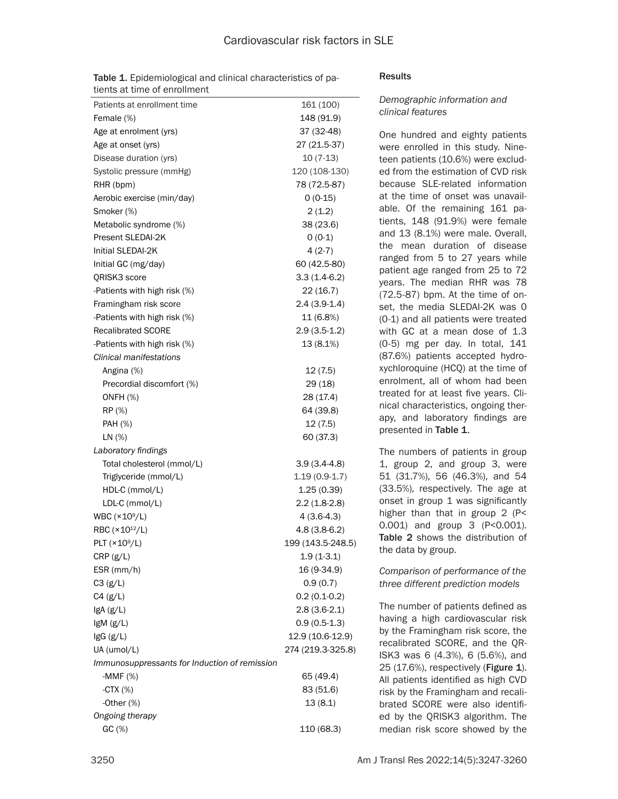| <b>Table 1.</b> Epidemiological and clinical characteristics of pa- |  |
|---------------------------------------------------------------------|--|
| tients at time of enrollment                                        |  |

| Patients at enrollment time                   | 161 (100)         |
|-----------------------------------------------|-------------------|
| Female (%)                                    | 148 (91.9)        |
| Age at enrolment (yrs)                        | 37 (32-48)        |
| Age at onset (yrs)                            | 27 (21.5-37)      |
| Disease duration (yrs)                        | $10(7-13)$        |
| Systolic pressure (mmHg)                      | 120 (108-130)     |
| RHR (bpm)                                     | 78 (72.5-87)      |
| Aerobic exercise (min/day)                    | $0(0-15)$         |
| Smoker (%)                                    | 2(1.2)            |
| Metabolic syndrome (%)                        | 38 (23.6)         |
| Present SLEDAI-2K                             | $0(0-1)$          |
| Initial SLEDAI-2K                             | $4(2-7)$          |
| Initial GC (mg/day)                           | 60 (42.5-80)      |
| QRISK3 score                                  | $3.3(1.4-6.2)$    |
| -Patients with high risk (%)                  | 22(16.7)          |
| Framingham risk score                         | $2.4(3.9-1.4)$    |
|                                               |                   |
| -Patients with high risk (%)                  | 11 (6.8%)         |
| <b>Recalibrated SCORE</b>                     | $2.9(3.5-1.2)$    |
| -Patients with high risk (%)                  | 13 (8.1%)         |
| <b>Clinical manifestations</b>                |                   |
| Angina (%)                                    | 12(7.5)           |
| Precordial discomfort (%)                     | 29(18)            |
| <b>ONFH (%)</b>                               | 28 (17.4)         |
| RP (%)                                        | 64 (39.8)         |
| PAH (%)                                       | 12 (7.5)          |
| LN (%)                                        | 60 (37.3)         |
| Laboratory findings                           |                   |
| Total cholesterol (mmol/L)                    | $3.9(3.4-4.8)$    |
| Triglyceride (mmol/L)                         | $1.19(0.9-1.7)$   |
| HDL-C (mmol/L)                                | 1.25(0.39)        |
| LDL-C (mmol/L)                                | $2.2(1.8-2.8)$    |
| WBC $(\times 10^9/L)$                         | $4(3.6-4.3)$      |
| RBC (×10 <sup>12</sup> /L)                    | $4.8(3.8-6.2)$    |
| PLT (×10 <sup>9</sup> /L)                     | 199 (143.5-248.5) |
| CRP (g/L)                                     | $1.9(1-3.1)$      |
| $ESR$ (mm/h)                                  | 16 (9-34.9)       |
| C3(g/L)                                       | 0.9(0.7)          |
| C4(g/L)                                       | $0.2(0.1-0.2)$    |
| IgA (g/L)                                     | $2.8(3.6-2.1)$    |
| IgM (g/L)                                     | $0.9(0.5-1.3)$    |
| $lgG$ (g/L)                                   | 12.9 (10.6-12.9)  |
| UA (umol/L)                                   | 274 (219.3-325.8) |
| Immunosuppressants for Induction of remission |                   |
|                                               |                   |
| -MMF (%)                                      | 65 (49.4)         |
| $-CTX(%)$                                     | 83 (51.6)         |
| -Other $(\%)$                                 | 13(8.1)           |
| Ongoing therapy                               |                   |
| GC(%)                                         | 110 (68.3)        |

#### **Results**

#### *Demographic information and clinical features*

One hundred and eighty patients were enrolled in this study. Nineteen patients (10.6%) were excluded from the estimation of CVD risk because SLE-related information at the time of onset was unavailable. Of the remaining 161 patients, 148 (91.9%) were female and 13 (8.1%) were male. Overall, the mean duration of disease ranged from 5 to 27 years while patient age ranged from 25 to 72 years. The median RHR was 78 (72.5-87) bpm. At the time of onset, the media SLEDAI-2K was 0 (0-1) and all patients were treated with GC at a mean dose of 1.3 (0-5) mg per day. In total, 141 (87.6%) patients accepted hydroxychloroquine (HCQ) at the time of enrolment, all of whom had been treated for at least five years. Clinical characteristics, ongoing therapy, and laboratory findings are presented in Table 1.

The numbers of patients in group 1, group 2, and group 3, were 51 (31.7%), 56 (46.3%), and 54 (33.5%), respectively. The age at onset in group 1 was significantly higher than that in group 2 (P< 0.001) and group 3 (P<0.001). Table 2 shows the distribution of the data by group.

*Comparison of performance of the three different prediction models*

The number of patients defined as having a high cardiovascular risk by the Framingham risk score, the recalibrated SCORE, and the QR-ISK3 was 6 (4.3%), 6 (5.6%), and 25 (17.6%), respectively (Figure 1). All patients identified as high CVD risk by the Framingham and recalibrated SCORE were also identified by the QRISK3 algorithm. The median risk score showed by the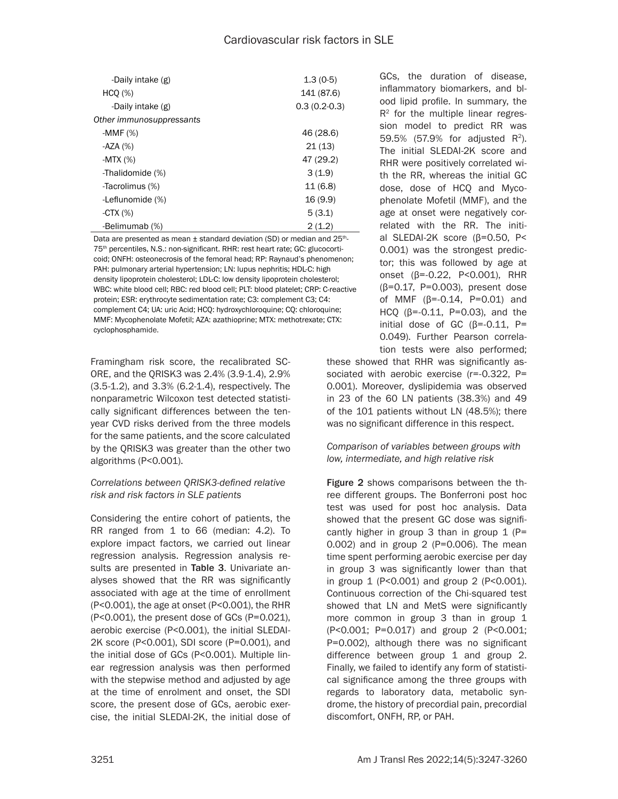| -Daily intake (g)        | $1.3(0-5)$     |
|--------------------------|----------------|
| HCO (%)                  | 141 (87.6)     |
| -Daily intake (g)        | $0.3(0.2-0.3)$ |
| Other immunosuppressants |                |
| -MMF $(%)$               | 46 (28.6)      |
| -AZA $(%)$               | 21(13)         |
| -MTX $(\%)$              | 47 (29.2)      |
| -Thalidomide (%)         | 3(1.9)         |
| -Tacrolimus (%)          | 11(6.8)        |
| -Leflunomide (%)         | 16 (9.9)       |
| $-CTX(%)$                | 5(3.1)         |
| -Belimumab (%)           | 2(1.2)         |

Data are presented as mean  $\pm$  standard deviation (SD) or median and 25<sup>th</sup>-75th percentiles, N.S.: non-significant. RHR: rest heart rate; GC: glucocorticoid; ONFH: osteonecrosis of the femoral head; RP: Raynaud's phenomenon; PAH: pulmonary arterial hypertension; LN: lupus nephritis; HDL-C: high density lipoprotein cholesterol; LDL-C: low density lipoprotein cholesterol; WBC: white blood cell; RBC: red blood cell; PLT: blood platelet; CRP: C-reactive protein; ESR: erythrocyte sedimentation rate; C3: complement C3; C4: complement C4; UA: uric Acid; HCQ: hydroxychloroquine; CQ: chloroquine; MMF: Mycophenolate Mofetil; AZA: azathioprine; MTX: methotrexate; CTX: cyclophosphamide.

Framingham risk score, the recalibrated SC-ORE, and the QRISK3 was 2.4% (3.9-1.4), 2.9% (3.5-1.2), and 3.3% (6.2-1.4), respectively. The nonparametric Wilcoxon test detected statistically significant differences between the tenyear CVD risks derived from the three models for the same patients, and the score calculated by the QRISK3 was greater than the other two algorithms (P<0.001).

## *Correlations between QRISK3-defined relative risk and risk factors in SLE patients*

Considering the entire cohort of patients, the RR ranged from 1 to 66 (median: 4.2). To explore impact factors, we carried out linear regression analysis. Regression analysis results are presented in Table 3. Univariate analyses showed that the RR was significantly associated with age at the time of enrollment (P<0.001), the age at onset (P<0.001), the RHR (P<0.001), the present dose of GCs (P=0.021), aerobic exercise (P<0.001), the initial SLEDAI-2K score (P<0.001), SDI score (P=0.001), and the initial dose of GCs (P<0.001). Multiple linear regression analysis was then performed with the stepwise method and adjusted by age at the time of enrolment and onset, the SDI score, the present dose of GCs, aerobic exercise, the initial SLEDAI-2K, the initial dose of

GCs, the duration of disease, inflammatory biomarkers, and blood lipid profile. In summary, the  $R<sup>2</sup>$  for the multiple linear regression model to predict RR was 59.5% (57.9% for adjusted R2). The initial SLEDAI-2K score and RHR were positively correlated with the RR, whereas the initial GC dose, dose of HCQ and Mycophenolate Mofetil (MMF), and the age at onset were negatively correlated with the RR. The initial SLEDAI-2K score (β=0.50, P< 0.001) was the strongest predictor; this was followed by age at onset ( $β = -0.22$ ,  $P < 0.001$ ), RHR (β=0.17, P=0.003), present dose of MMF (β=-0.14, P=0.01) and HCQ (β=-0.11, P=0.03), and the initial dose of GC  $(\beta = -0.11, P =$ 0.049). Further Pearson correlation tests were also performed;

these showed that RHR was significantly associated with aerobic exercise (r=-0.322, P= 0.001). Moreover, dyslipidemia was observed in 23 of the 60 LN patients (38.3%) and 49 of the 101 patients without LN (48.5%); there was no significant difference in this respect.

# *Comparison of variables between groups with low, intermediate, and high relative risk*

Figure 2 shows comparisons between the three different groups. The Bonferroni post hoc test was used for post hoc analysis. Data showed that the present GC dose was significantly higher in group 3 than in group  $1$  (P= 0.002) and in group 2 (P=0.006). The mean time spent performing aerobic exercise per day in group 3 was significantly lower than that in group 1 (P<0.001) and group 2 (P<0.001). Continuous correction of the Chi-squared test showed that LN and MetS were significantly more common in group 3 than in group 1 (P<0.001; P=0.017) and group 2 (P<0.001; P=0.002), although there was no significant difference between group 1 and group 2. Finally, we failed to identify any form of statistical significance among the three groups with regards to laboratory data, metabolic syndrome, the history of precordial pain, precordial discomfort, ONFH, RP, or PAH.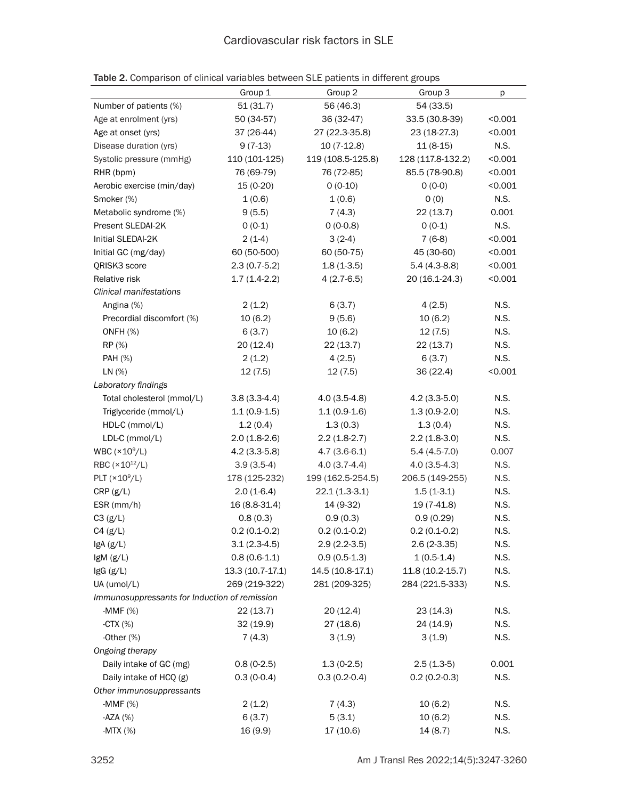|                                               | Group 1          | Group 2           | Group 3           | р       |
|-----------------------------------------------|------------------|-------------------|-------------------|---------|
| Number of patients (%)                        | 51(31.7)         | 56 (46.3)         | 54 (33.5)         |         |
| Age at enrolment (yrs)                        | 50 (34-57)       | 36 (32-47)        | 33.5 (30.8-39)    | < 0.001 |
| Age at onset (yrs)                            | 37 (26-44)       | 27 (22.3-35.8)    | 23 (18-27.3)      | < 0.001 |
| Disease duration (yrs)                        | $9(7-13)$        | $10(7-12.8)$      | $11(8-15)$        | N.S.    |
| Systolic pressure (mmHg)                      | 110 (101-125)    | 119 (108.5-125.8) | 128 (117.8-132.2) | < 0.001 |
| RHR (bpm)                                     | 76 (69-79)       | 76 (72-85)        | 85.5 (78-90.8)    | < 0.001 |
| Aerobic exercise (min/day)                    | 15 (0-20)        | $0(0-10)$         | $0(0-0)$          | < 0.001 |
| Smoker (%)                                    | 1(0.6)           | 1(0.6)            | O(0)              | N.S.    |
| Metabolic syndrome (%)                        | 9(5.5)           | 7(4.3)            | 22(13.7)          | 0.001   |
| Present SLEDAI-2K                             | $0(0-1)$         | $0(0-0.8)$        | $0(0-1)$          | N.S.    |
| Initial SLEDAI-2K                             | $2(1-4)$         | $3(2-4)$          | $7(6-8)$          | < 0.001 |
| Initial GC (mg/day)                           | 60 (50-500)      | 60 (50-75)        | 45 (30-60)        | < 0.001 |
| QRISK3 score                                  | $2.3(0.7-5.2)$   | $1.8(1-3.5)$      | $5.4(4.3-8.8)$    | < 0.001 |
| Relative risk                                 | $1.7(1.4-2.2)$   | $4(2.7-6.5)$      | 20 (16.1-24.3)    | < 0.001 |
| Clinical manifestations                       |                  |                   |                   |         |
| Angina (%)                                    | 2(1.2)           | 6(3.7)            | 4(2.5)            | N.S.    |
| Precordial discomfort (%)                     | 10(6.2)          | 9(5.6)            | 10(6.2)           | N.S.    |
| ONFH (%)                                      | 6(3.7)           | 10(6.2)           | 12(7.5)           | N.S.    |
| RP (%)                                        | 20 (12.4)        | 22(13.7)          | 22(13.7)          | N.S.    |
| <b>PAH (%)</b>                                | 2(1.2)           | 4(2.5)            | 6(3.7)            | N.S.    |
| LN (%)                                        | 12(7.5)          | 12(7.5)           | 36(22.4)          | < 0.001 |
| Laboratory findings                           |                  |                   |                   |         |
| Total cholesterol (mmol/L)                    | $3.8(3.3-4.4)$   | $4.0(3.5-4.8)$    | $4.2(3.3-5.0)$    | N.S.    |
| Triglyceride (mmol/L)                         | $1.1(0.9-1.5)$   | $1.1(0.9-1.6)$    | $1.3(0.9-2.0)$    | N.S.    |
| HDL-C (mmol/L)                                | 1.2(0.4)         | 1.3(0.3)          | 1.3(0.4)          | N.S.    |
| LDL-C (mmol/L)                                | $2.0(1.8-2.6)$   | $2.2(1.8-2.7)$    | $2.2(1.8-3.0)$    | N.S.    |
| WBC $(\times 10^9/L)$                         | $4.2(3.3-5.8)$   | $4.7(3.6-6.1)$    | $5.4(4.5-7.0)$    | 0.007   |
| RBC (×10 <sup>12</sup> /L)                    | $3.9(3.5-4)$     | $4.0(3.7-4.4)$    | $4.0(3.5-4.3)$    | N.S.    |
| PLT $(\times 10^9/L)$                         | 178 (125-232)    | 199 (162.5-254.5) | 206.5 (149-255)   | N.S.    |
| CRP(g/L)                                      | $2.0(1-6.4)$     | $22.1(1.3-3.1)$   | $1.5(1-3.1)$      | N.S.    |
| ESR (mm/h)                                    | 16 (8.8-31.4)    | 14 (9-32)         | 19 (7-41.8)       | N.S.    |
| C3(g/L)                                       | 0.8(0.3)         | 0.9(0.3)          | 0.9(0.29)         | N.S.    |
| C4 (g/L)                                      | $0.2(0.1-0.2)$   | $0.2(0.1-0.2)$    | $0.2(0.1-0.2)$    | N.S.    |
| IgA (g/L)                                     | $3.1(2.3-4.5)$   | $2.9(2.2-3.5)$    | $2.6(2-3.35)$     | N.S.    |
| IgM (g/L)                                     | $0.8(0.6-1.1)$   | $0.9(0.5-1.3)$    | $1(0.5-1.4)$      | N.S.    |
| IgG (g/L)                                     | 13.3 (10.7-17.1) | 14.5 (10.8-17.1)  | $11.8(10.2-15.7)$ | N.S.    |
| UA (umol/L)                                   | 269 (219-322)    | 281 (209-325)     | 284 (221.5-333)   | N.S.    |
| Immunosuppressants for Induction of remission |                  |                   |                   |         |
| -MMF (%)                                      | 22(13.7)         | 20(12.4)          | 23(14.3)          | N.S.    |
| -CTX $(%)$                                    | 32(19.9)         | 27(18.6)          | 24 (14.9)         | N.S.    |
| -Other $(\%)$                                 | 7(4.3)           | 3(1.9)            | 3(1.9)            | N.S.    |
| Ongoing therapy                               |                  |                   |                   |         |
| Daily intake of GC (mg)                       | $0.8(0-2.5)$     | $1.3(0-2.5)$      | $2.5(1.3-5)$      | 0.001   |
| Daily intake of HCQ (g)                       | $0.3(0-0.4)$     | $0.3(0.2-0.4)$    | $0.2(0.2-0.3)$    | N.S.    |
| Other immunosuppressants                      |                  |                   |                   |         |
| -MMF (%)                                      | 2(1.2)           | 7(4.3)            | 10(6.2)           | N.S.    |
| -AZA $(%)$                                    | 6(3.7)           | 5(3.1)            | 10(6.2)           | N.S.    |
| -MTX $(%)$                                    | 16(9.9)          | 17(10.6)          | 14(8.7)           | N.S.    |

Table 2. Comparison of clinical variables between SLE patients in different groups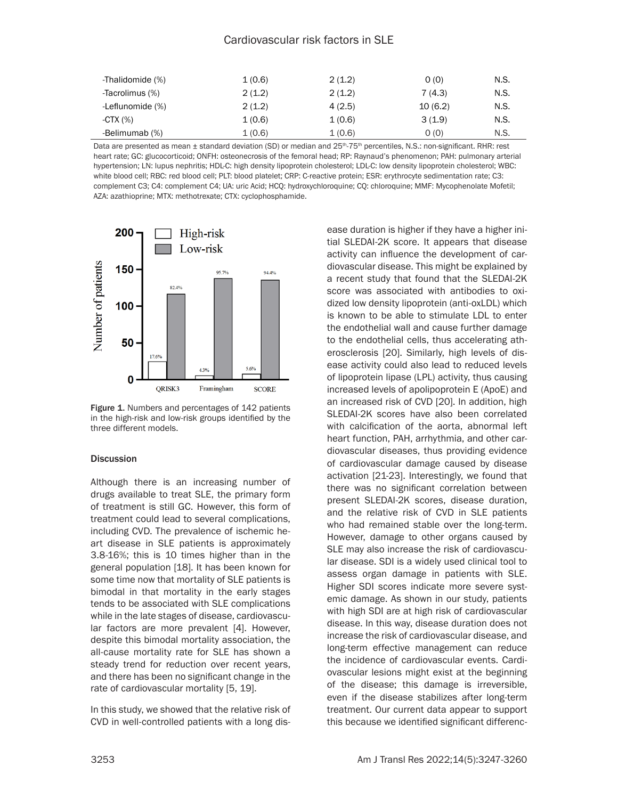#### Cardiovascular risk factors in SLE

| -Thalidomide (%) | 1(0.6) | 2(1.2) | O(0)    | N.S. |
|------------------|--------|--------|---------|------|
| -Tacrolimus (%)  | 2(1.2) | 2(1.2) | 7(4.3)  | N.S. |
| -Leflunomide (%) | 2(1.2) | 4(2.5) | 10(6.2) | N.S. |
| -CTX $(\%)$      | 1(0.6) | 1(0.6) | 3(1.9)  | N.S. |
| -Belimumab (%)   | 1(0.6) | 1(0.6) | O(0)    | N.S. |

Data are presented as mean ± standard deviation (SD) or median and 25<sup>th</sup>-75<sup>th</sup> percentiles, N.S.: non-significant. RHR: rest heart rate; GC: glucocorticoid; ONFH: osteonecrosis of the femoral head; RP: Raynaud's phenomenon; PAH: pulmonary arterial hypertension; LN: lupus nephritis; HDL-C: high density lipoprotein cholesterol; LDL-C: low density lipoprotein cholesterol; WBC: white blood cell; RBC: red blood cell; PLT: blood platelet; CRP: C-reactive protein; ESR: erythrocyte sedimentation rate; C3: complement C3; C4: complement C4; UA: uric Acid; HCQ: hydroxychloroquine; CQ: chloroquine; MMF: Mycophenolate Mofetil; AZA: azathioprine; MTX: methotrexate; CTX: cyclophosphamide.



Figure 1. Numbers and percentages of 142 patients in the high-risk and low-risk groups identified by the three different models.

#### **Discussion**

Although there is an increasing number of drugs available to treat SLE, the primary form of treatment is still GC. However, this form of treatment could lead to several complications, including CVD. The prevalence of ischemic heart disease in SLE patients is approximately 3.8-16%; this is 10 times higher than in the general population [18]. It has been known for some time now that mortality of SLE patients is bimodal in that mortality in the early stages tends to be associated with SLE complications while in the late stages of disease, cardiovascular factors are more prevalent [4]. However, despite this bimodal mortality association, the all-cause mortality rate for SLE has shown a steady trend for reduction over recent years, and there has been no significant change in the rate of cardiovascular mortality [5, 19].

In this study, we showed that the relative risk of CVD in well-controlled patients with a long disease duration is higher if they have a higher initial SLEDAI-2K score. It appears that disease activity can influence the development of cardiovascular disease. This might be explained by a recent study that found that the SLEDAI-2K score was associated with antibodies to oxidized low density lipoprotein (anti-oxLDL) which is known to be able to stimulate LDL to enter the endothelial wall and cause further damage to the endothelial cells, thus accelerating atherosclerosis [20]. Similarly, high levels of disease activity could also lead to reduced levels of lipoprotein lipase (LPL) activity, thus causing increased levels of apolipoprotein E (ApoE) and an increased risk of CVD [20]. In addition, high SLEDAI-2K scores have also been correlated with calcification of the aorta, abnormal left heart function, PAH, arrhythmia, and other cardiovascular diseases, thus providing evidence of cardiovascular damage caused by disease activation [21-23]. Interestingly, we found that there was no significant correlation between present SLEDAI-2K scores, disease duration, and the relative risk of CVD in SLE patients who had remained stable over the long-term. However, damage to other organs caused by SLE may also increase the risk of cardiovascular disease. SDI is a widely used clinical tool to assess organ damage in patients with SLE. Higher SDI scores indicate more severe systemic damage. As shown in our study, patients with high SDI are at high risk of cardiovascular disease. In this way, disease duration does not increase the risk of cardiovascular disease, and long-term effective management can reduce the incidence of cardiovascular events. Cardiovascular lesions might exist at the beginning of the disease; this damage is irreversible, even if the disease stabilizes after long-term treatment. Our current data appear to support this because we identified significant differenc-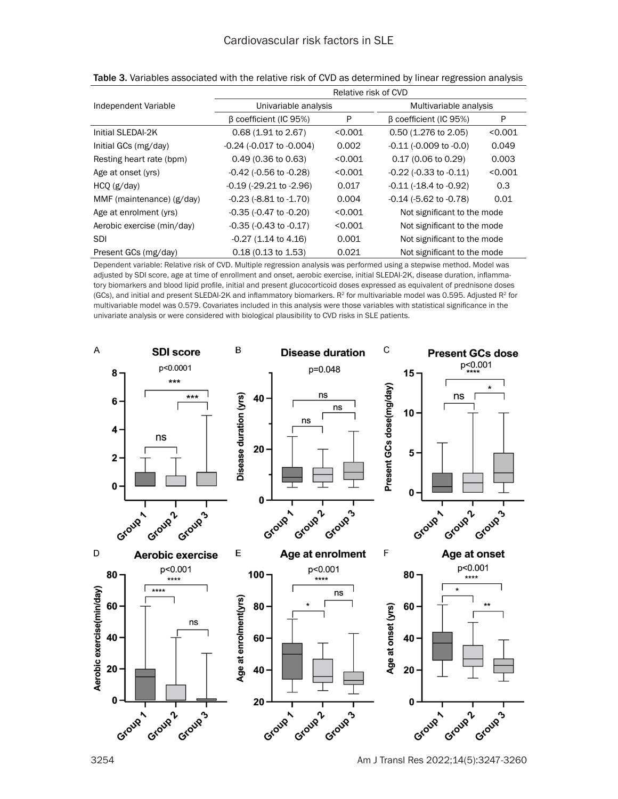|                            | Relative risk of CVD             |         |                                |         |
|----------------------------|----------------------------------|---------|--------------------------------|---------|
| Independent Variable       | Univariable analysis             |         | Multivariable analysis         |         |
|                            | B coefficient (IC 95%)           | P       | B coefficient (IC 95%)         | P       |
| Initial SLEDAI-2K          | 0.68 (1.91 to 2.67)              | < 0.001 | 0.50 (1.276 to 2.05)           | < 0.001 |
| Initial GCs (mg/day)       | $-0.24$ ( $-0.017$ to $-0.004$ ) | 0.002   | $-0.11$ $(-0.009$ to $-0.0)$   | 0.049   |
| Resting heart rate (bpm)   | $0.49(0.36 \text{ to } 0.63)$    | < 0.001 | 0.17 (0.06 to 0.29)            | 0.003   |
| Age at onset (yrs)         | -0.42 (-0.56 to -0.28)           | < 0.001 | $-0.22$ ( $-0.33$ to $-0.11$ ) | < 0.001 |
| HCQ (g/day)                | $-0.19$ ( $-29.21$ to $-2.96$ )  | 0.017   | $-0.11$ ( $-18.4$ to $-0.92$ ) | 0.3     |
| MMF (maintenance) (g/day)  | $-0.23$ ( $-8.81$ to $-1.70$ )   | 0.004   | $-0.14$ ( $-5.62$ to $-0.78$ ) | 0.01    |
| Age at enrolment (yrs)     | $-0.35$ ( $-0.47$ to $-0.20$ )   | < 0.001 | Not significant to the mode    |         |
| Aerobic exercise (min/day) | $-0.35$ ( $-0.43$ to $-0.17$ )   | < 0.001 | Not significant to the mode    |         |
| <b>SDI</b>                 | $-0.27$ (1.14 to 4.16)           | 0.001   | Not significant to the mode    |         |
| Present GCs (mg/day)       | $0.18(0.13 \text{ to } 1.53)$    | 0.021   | Not significant to the mode    |         |

Table 3. Variables associated with the relative risk of CVD as determined by linear regression analysis

Dependent variable: Relative risk of CVD. Multiple regression analysis was performed using a stepwise method. Model was adjusted by SDI score, age at time of enrollment and onset, aerobic exercise, initial SLEDAI-2K, disease duration, inflammatory biomarkers and blood lipid profile, initial and present glucocorticoid doses expressed as equivalent of prednisone doses (GCs), and initial and present SLEDAI-2K and inflammatory biomarkers.  $R^2$  for multivariable model was 0.595. Adjusted  $R^2$  for multivariable model was 0.579. Covariates included in this analysis were those variables with statistical significance in the univariate analysis or were considered with biological plausibility to CVD risks in SLE patients.

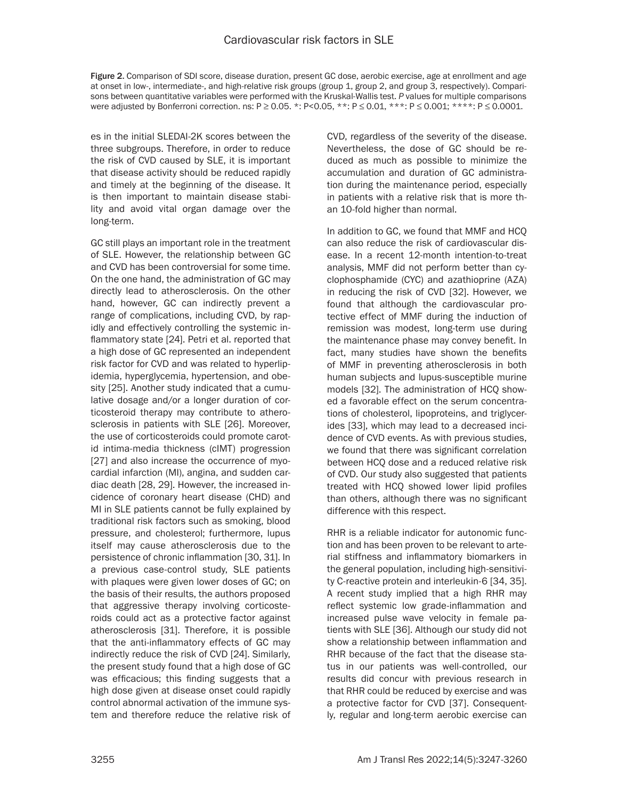Figure 2. Comparison of SDI score, disease duration, present GC dose, aerobic exercise, age at enrollment and age at onset in low-, intermediate-, and high-relative risk groups (group 1, group 2, and group 3, respectively). Comparisons between quantitative variables were performed with the Kruskal-Wallis test. *P* values for multiple comparisons were adjusted by Bonferroni correction. ns:  $P \ge 0.05$ . \*:  $P < 0.05$ , \*\*:  $P \le 0.01$ , \*\*\*:  $P \le 0.001$ ; \*\*\*\*:  $P \le 0.0001$ .

es in the initial SLEDAI-2K scores between the three subgroups. Therefore, in order to reduce the risk of CVD caused by SLE, it is important that disease activity should be reduced rapidly and timely at the beginning of the disease. It is then important to maintain disease stability and avoid vital organ damage over the long-term.

GC still plays an important role in the treatment of SLE. However, the relationship between GC and CVD has been controversial for some time. On the one hand, the administration of GC may directly lead to atherosclerosis. On the other hand, however, GC can indirectly prevent a range of complications, including CVD, by rapidly and effectively controlling the systemic inflammatory state [24]. Petri et al. reported that a high dose of GC represented an independent risk factor for CVD and was related to hyperlipidemia, hyperglycemia, hypertension, and obesity [25]. Another study indicated that a cumulative dosage and/or a longer duration of corticosteroid therapy may contribute to atherosclerosis in patients with SLE [26]. Moreover, the use of corticosteroids could promote carotid intima-media thickness (cIMT) progression [27] and also increase the occurrence of myocardial infarction (MI), angina, and sudden cardiac death [28, 29]. However, the increased incidence of coronary heart disease (CHD) and MI in SLE patients cannot be fully explained by traditional risk factors such as smoking, blood pressure, and cholesterol; furthermore, lupus itself may cause atherosclerosis due to the persistence of chronic inflammation [30, 31]. In a previous case-control study, SLE patients with plaques were given lower doses of GC; on the basis of their results, the authors proposed that aggressive therapy involving corticosteroids could act as a protective factor against atherosclerosis [31]. Therefore, it is possible that the anti-inflammatory effects of GC may indirectly reduce the risk of CVD [24]. Similarly, the present study found that a high dose of GC was efficacious; this finding suggests that a high dose given at disease onset could rapidly control abnormal activation of the immune system and therefore reduce the relative risk of CVD, regardless of the severity of the disease. Nevertheless, the dose of GC should be reduced as much as possible to minimize the accumulation and duration of GC administration during the maintenance period, especially in patients with a relative risk that is more than 10-fold higher than normal.

In addition to GC, we found that MMF and HCQ can also reduce the risk of cardiovascular disease. In a recent 12-month intention-to-treat analysis, MMF did not perform better than cyclophosphamide (CYC) and azathioprine (AZA) in reducing the risk of CVD [32]. However, we found that although the cardiovascular protective effect of MMF during the induction of remission was modest, long-term use during the maintenance phase may convey benefit. In fact, many studies have shown the benefits of MMF in preventing atherosclerosis in both human subjects and lupus-susceptible murine models [32]. The administration of HCQ showed a favorable effect on the serum concentrations of cholesterol, lipoproteins, and triglycerides [33], which may lead to a decreased incidence of CVD events. As with previous studies, we found that there was significant correlation between HCQ dose and a reduced relative risk of CVD. Our study also suggested that patients treated with HCQ showed lower lipid profiles than others, although there was no significant difference with this respect.

RHR is a reliable indicator for autonomic function and has been proven to be relevant to arterial stiffness and inflammatory biomarkers in the general population, including high-sensitivity C-reactive protein and interleukin-6 [34, 35]. A recent study implied that a high RHR may reflect systemic low grade-inflammation and increased pulse wave velocity in female patients with SLE [36]. Although our study did not show a relationship between inflammation and RHR because of the fact that the disease status in our patients was well-controlled, our results did concur with previous research in that RHR could be reduced by exercise and was a protective factor for CVD [37]. Consequently, regular and long-term aerobic exercise can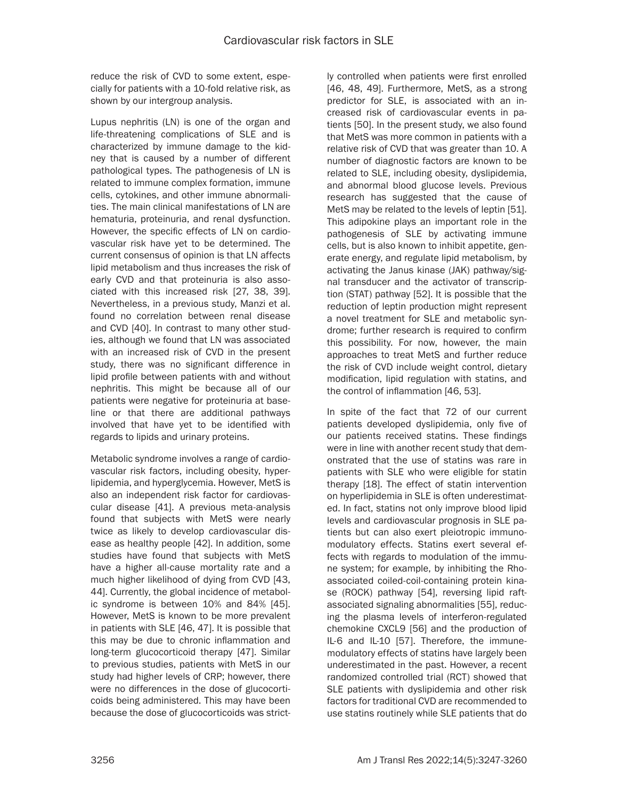reduce the risk of CVD to some extent, especially for patients with a 10-fold relative risk, as shown by our intergroup analysis.

Lupus nephritis (LN) is one of the organ and life-threatening complications of SLE and is characterized by immune damage to the kidney that is caused by a number of different pathological types. The pathogenesis of LN is related to immune complex formation, immune cells, cytokines, and other immune abnormalities. The main clinical manifestations of LN are hematuria, proteinuria, and renal dysfunction. However, the specific effects of LN on cardiovascular risk have yet to be determined. The current consensus of opinion is that LN affects lipid metabolism and thus increases the risk of early CVD and that proteinuria is also associated with this increased risk [27, 38, 39]. Nevertheless, in a previous study, Manzi et al. found no correlation between renal disease and CVD [40]. In contrast to many other studies, although we found that LN was associated with an increased risk of CVD in the present study, there was no significant difference in lipid profile between patients with and without nephritis. This might be because all of our patients were negative for proteinuria at baseline or that there are additional pathways involved that have yet to be identified with regards to lipids and urinary proteins.

Metabolic syndrome involves a range of cardiovascular risk factors, including obesity, hyperlipidemia, and hyperglycemia. However, MetS is also an independent risk factor for cardiovascular disease [41]. A previous meta-analysis found that subjects with MetS were nearly twice as likely to develop cardiovascular disease as healthy people [42]. In addition, some studies have found that subjects with MetS have a higher all-cause mortality rate and a much higher likelihood of dying from CVD [43, 44]. Currently, the global incidence of metabolic syndrome is between 10% and 84% [45]. However, MetS is known to be more prevalent in patients with SLE [46, 47]. It is possible that this may be due to chronic inflammation and long-term glucocorticoid therapy [47]. Similar to previous studies, patients with MetS in our study had higher levels of CRP; however, there were no differences in the dose of glucocorticoids being administered. This may have been because the dose of glucocorticoids was strictly controlled when patients were first enrolled [46, 48, 49]. Furthermore, MetS, as a strong predictor for SLE, is associated with an increased risk of cardiovascular events in patients [50]. In the present study, we also found that MetS was more common in patients with a relative risk of CVD that was greater than 10. A number of diagnostic factors are known to be related to SLE, including obesity, dyslipidemia, and abnormal blood glucose levels. Previous research has suggested that the cause of MetS may be related to the levels of leptin [51]. This adipokine plays an important role in the pathogenesis of SLE by activating immune cells, but is also known to inhibit appetite, generate energy, and regulate lipid metabolism, by activating the Janus kinase (JAK) pathway/signal transducer and the activator of transcription (STAT) pathway [52]. It is possible that the reduction of leptin production might represent a novel treatment for SLE and metabolic syndrome; further research is required to confirm this possibility. For now, however, the main approaches to treat MetS and further reduce the risk of CVD include weight control, dietary modification, lipid regulation with statins, and the control of inflammation [46, 53].

In spite of the fact that 72 of our current patients developed dyslipidemia, only five of our patients received statins. These findings were in line with another recent study that demonstrated that the use of statins was rare in patients with SLE who were eligible for statin therapy [18]. The effect of statin intervention on hyperlipidemia in SLE is often underestimated. In fact, statins not only improve blood lipid levels and cardiovascular prognosis in SLE patients but can also exert pleiotropic immunomodulatory effects. Statins exert several effects with regards to modulation of the immune system; for example, by inhibiting the Rhoassociated coiled-coil-containing protein kinase (ROCK) pathway [54], reversing lipid raftassociated signaling abnormalities [55], reducing the plasma levels of interferon-regulated chemokine CXCL9 [56] and the production of IL-6 and IL-10 [57]. Therefore, the immunemodulatory effects of statins have largely been underestimated in the past. However, a recent randomized controlled trial (RCT) showed that SLE patients with dyslipidemia and other risk factors for traditional CVD are recommended to use statins routinely while SLE patients that do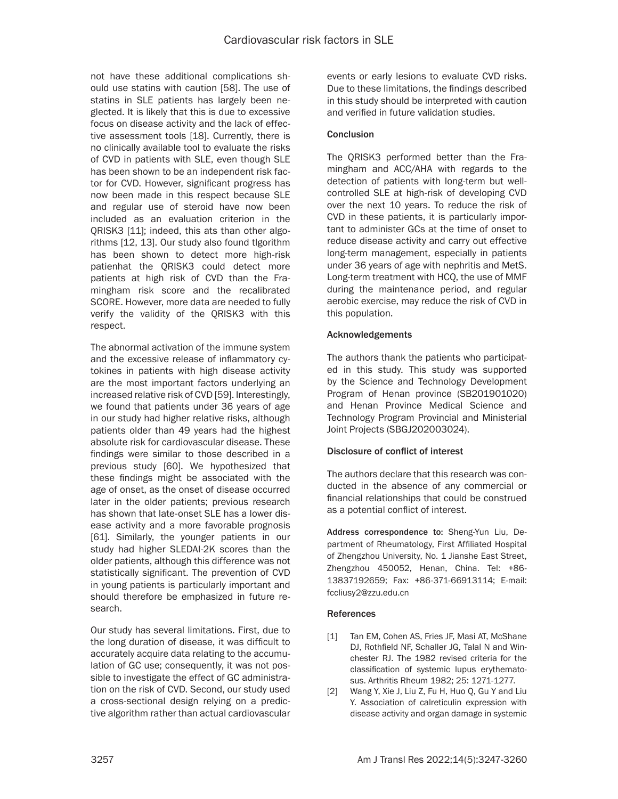not have these additional complications should use statins with caution [58]. The use of statins in SLE patients has largely been neglected. It is likely that this is due to excessive focus on disease activity and the lack of effective assessment tools [18]. Currently, there is no clinically available tool to evaluate the risks of CVD in patients with SLE, even though SLE has been shown to be an independent risk factor for CVD. However, significant progress has now been made in this respect because SLE and regular use of steroid have now been included as an evaluation criterion in the QRISK3 [11]; indeed, this ats than other algorithms [12, 13]. Our study also found tlgorithm has been shown to detect more high-risk patienhat the QRISK3 could detect more patients at high risk of CVD than the Framingham risk score and the recalibrated SCORE. However, more data are needed to fully verify the validity of the QRISK3 with this respect.

The abnormal activation of the immune system and the excessive release of inflammatory cytokines in patients with high disease activity are the most important factors underlying an increased relative risk of CVD [59]. Interestingly, we found that patients under 36 years of age in our study had higher relative risks, although patients older than 49 years had the highest absolute risk for cardiovascular disease. These findings were similar to those described in a previous study [60]. We hypothesized that these findings might be associated with the age of onset, as the onset of disease occurred later in the older patients; previous research has shown that late-onset SLE has a lower disease activity and a more favorable prognosis [61]. Similarly, the younger patients in our study had higher SLEDAI-2K scores than the older patients, although this difference was not statistically significant. The prevention of CVD in young patients is particularly important and should therefore be emphasized in future research.

Our study has several limitations. First, due to the long duration of disease, it was difficult to accurately acquire data relating to the accumulation of GC use; consequently, it was not possible to investigate the effect of GC administration on the risk of CVD. Second, our study used a cross-sectional design relying on a predictive algorithm rather than actual cardiovascular events or early lesions to evaluate CVD risks. Due to these limitations, the findings described in this study should be interpreted with caution and verified in future validation studies.

## Conclusion

The QRISK3 performed better than the Framingham and ACC/AHA with regards to the detection of patients with long-term but wellcontrolled SLE at high-risk of developing CVD over the next 10 years. To reduce the risk of CVD in these patients, it is particularly important to administer GCs at the time of onset to reduce disease activity and carry out effective long-term management, especially in patients under 36 years of age with nephritis and MetS. Long-term treatment with HCQ, the use of MMF during the maintenance period, and regular aerobic exercise, may reduce the risk of CVD in this population.

## Acknowledgements

The authors thank the patients who participated in this study. This study was supported by the Science and Technology Development Program of Henan province (SB201901020) and Henan Province Medical Science and Technology Program Provincial and Ministerial Joint Projects (SBGJ202003024).

# Disclosure of conflict of interest

The authors declare that this research was conducted in the absence of any commercial or financial relationships that could be construed as a potential conflict of interest.

Address correspondence to: Sheng-Yun Liu, Department of Rheumatology, First Affiliated Hospital of Zhengzhou University, No. 1 Jianshe East Street, Zhengzhou 450052, Henan, China. Tel: +86- 13837192659; Fax: +86-371-66913114; E-mail: [fccliusy2@zzu.edu.cn](mailto:fccliusy2@zzu.edu.cn)

#### References

- [1] Tan EM, Cohen AS, Fries JF, Masi AT, McShane DJ, Rothfield NF, Schaller JG, Talal N and Winchester RJ. The 1982 revised criteria for the classification of systemic lupus erythematosus. Arthritis Rheum 1982; 25: 1271-1277.
- [2] Wang Y, Xie J, Liu Z, Fu H, Huo Q, Gu Y and Liu Y. Association of calreticulin expression with disease activity and organ damage in systemic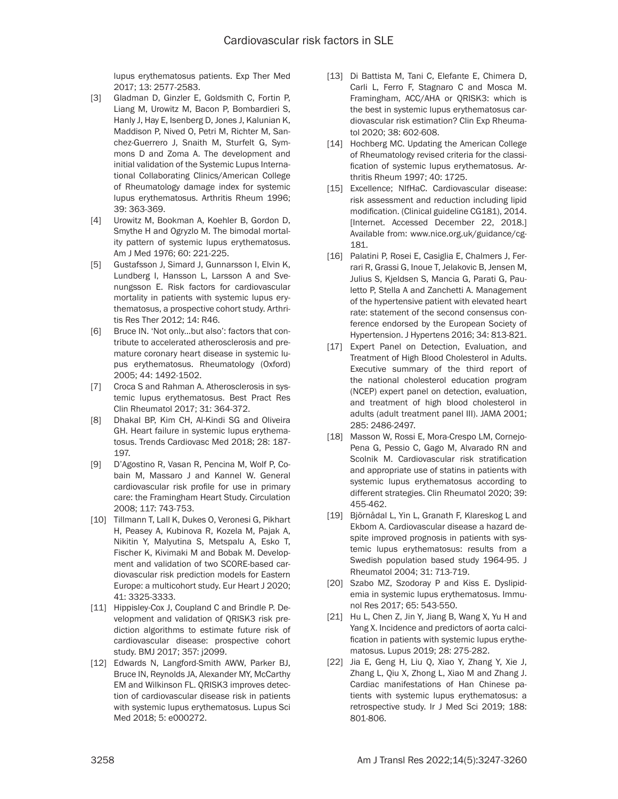lupus erythematosus patients. Exp Ther Med 2017; 13: 2577-2583.

- [3] Gladman D, Ginzler E, Goldsmith C, Fortin P, Liang M, Urowitz M, Bacon P, Bombardieri S, Hanly J, Hay E, Isenberg D, Jones J, Kalunian K, Maddison P, Nived O, Petri M, Richter M, Sanchez-Guerrero J, Snaith M, Sturfelt G, Symmons D and Zoma A. The development and initial validation of the Systemic Lupus International Collaborating Clinics/American College of Rheumatology damage index for systemic lupus erythematosus. Arthritis Rheum 1996; 39: 363-369.
- [4] Urowitz M, Bookman A, Koehler B, Gordon D, Smythe H and Ogryzlo M. The bimodal mortality pattern of systemic lupus erythematosus. Am J Med 1976; 60: 221-225.
- [5] Gustafsson J, Simard J, Gunnarsson I, Elvin K, Lundberg I, Hansson L, Larsson A and Svenungsson E. Risk factors for cardiovascular mortality in patients with systemic lupus erythematosus, a prospective cohort study. Arthritis Res Ther 2012; 14: R46.
- [6] Bruce IN. 'Not only...but also': factors that contribute to accelerated atherosclerosis and premature coronary heart disease in systemic lupus erythematosus. Rheumatology (Oxford) 2005; 44: 1492-1502.
- [7] Croca S and Rahman A. Atherosclerosis in systemic lupus erythematosus. Best Pract Res Clin Rheumatol 2017; 31: 364-372.
- [8] Dhakal BP, Kim CH, Al-Kindi SG and Oliveira GH. Heart failure in systemic lupus erythematosus. Trends Cardiovasc Med 2018; 28: 187- 197.
- [9] D'Agostino R, Vasan R, Pencina M, Wolf P, Cobain M, Massaro J and Kannel W. General cardiovascular risk profile for use in primary care: the Framingham Heart Study. Circulation 2008; 117: 743-753.
- [10] Tillmann T, Lall K, Dukes O, Veronesi G, Pikhart H, Peasey A, Kubinova R, Kozela M, Pajak A, Nikitin Y, Malyutina S, Metspalu A, Esko T, Fischer K, Kivimaki M and Bobak M. Development and validation of two SCORE-based cardiovascular risk prediction models for Eastern Europe: a multicohort study. Eur Heart J 2020; 41: 3325-3333.
- [11] Hippisley-Cox J, Coupland C and Brindle P. Development and validation of QRISK3 risk prediction algorithms to estimate future risk of cardiovascular disease: prospective cohort study. BMJ 2017; 357: j2099.
- [12] Edwards N, Langford-Smith AWW, Parker BJ, Bruce IN, Reynolds JA, Alexander MY, McCarthy EM and Wilkinson FL. QRISK3 improves detection of cardiovascular disease risk in patients with systemic lupus erythematosus. Lupus Sci Med 2018; 5: e000272.
- [13] Di Battista M, Tani C, Elefante E, Chimera D, Carli L, Ferro F, Stagnaro C and Mosca M. Framingham, ACC/AHA or QRISK3: which is the best in systemic lupus erythematosus cardiovascular risk estimation? Clin Exp Rheumatol 2020; 38: 602-608.
- [14] Hochberg MC. Updating the American College of Rheumatology revised criteria for the classification of systemic lupus erythematosus. Arthritis Rheum 1997; 40: 1725.
- [15] Excellence; NIfHaC. Cardiovascular disease: risk assessment and reduction including lipid modification. (Clinical guideline CG181), 2014. [Internet. Accessed December 22, 2018.] Available from: www.nice.org.uk/guidance/cg-181.
- [16] Palatini P, Rosei E, Casiglia E, Chalmers J, Ferrari R, Grassi G, Inoue T, Jelakovic B, Jensen M, Julius S, Kjeldsen S, Mancia G, Parati G, Pauletto P, Stella A and Zanchetti A. Management of the hypertensive patient with elevated heart rate: statement of the second consensus conference endorsed by the European Society of Hypertension. J Hypertens 2016; 34: 813-821.
- [17] Expert Panel on Detection, Evaluation, and Treatment of High Blood Cholesterol in Adults. Executive summary of the third report of the national cholesterol education program (NCEP) expert panel on detection, evaluation, and treatment of high blood cholesterol in adults (adult treatment panel III). JAMA 2001; 285: 2486-2497.
- [18] Masson W, Rossi E, Mora-Crespo LM, Cornejo-Pena G, Pessio C, Gago M, Alvarado RN and Scolnik M. Cardiovascular risk stratification and appropriate use of statins in patients with systemic lupus erythematosus according to different strategies. Clin Rheumatol 2020; 39: 455-462.
- [19] Björnådal L, Yin L, Granath F, Klareskog L and Ekbom A. Cardiovascular disease a hazard despite improved prognosis in patients with systemic lupus erythematosus: results from a Swedish population based study 1964-95. J Rheumatol 2004; 31: 713-719.
- [20] Szabo MZ, Szodoray P and Kiss E. Dyslipidemia in systemic lupus erythematosus. Immunol Res 2017; 65: 543-550.
- [21] Hu L, Chen Z, Jin Y, Jiang B, Wang X, Yu H and Yang X. Incidence and predictors of aorta calcification in patients with systemic lupus erythematosus. Lupus 2019; 28: 275-282.
- [22] Jia E, Geng H, Liu Q, Xiao Y, Zhang Y, Xie J, Zhang L, Qiu X, Zhong L, Xiao M and Zhang J. Cardiac manifestations of Han Chinese patients with systemic lupus erythematosus: a retrospective study. Ir J Med Sci 2019; 188: 801-806.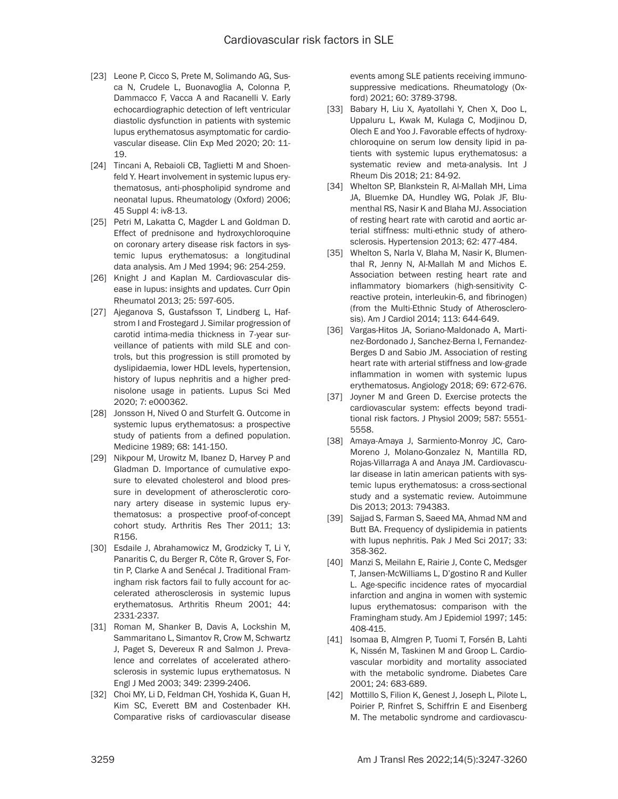- [23] Leone P, Cicco S, Prete M, Solimando AG, Susca N, Crudele L, Buonavoglia A, Colonna P, Dammacco F, Vacca A and Racanelli V. Early echocardiographic detection of left ventricular diastolic dysfunction in patients with systemic lupus erythematosus asymptomatic for cardiovascular disease. Clin Exp Med 2020; 20: 11- 19.
- [24] Tincani A, Rebaioli CB, Taglietti M and Shoenfeld Y. Heart involvement in systemic lupus erythematosus, anti-phospholipid syndrome and neonatal lupus. Rheumatology (Oxford) 2006; 45 Suppl 4: iv8-13.
- [25] Petri M, Lakatta C, Magder L and Goldman D. Effect of prednisone and hydroxychloroquine on coronary artery disease risk factors in systemic lupus erythematosus: a longitudinal data analysis. Am J Med 1994; 96: 254-259.
- [26] Knight J and Kaplan M. Cardiovascular disease in lupus: insights and updates. Curr Opin Rheumatol 2013; 25: 597-605.
- [27] Ajeganova S, Gustafsson T, Lindberg L, Hafstrom I and Frostegard J. Similar progression of carotid intima-media thickness in 7-year surveillance of patients with mild SLE and controls, but this progression is still promoted by dyslipidaemia, lower HDL levels, hypertension, history of lupus nephritis and a higher prednisolone usage in patients. Lupus Sci Med 2020; 7: e000362.
- [28] Jonsson H, Nived O and Sturfelt G, Outcome in systemic lupus erythematosus: a prospective study of patients from a defined population. Medicine 1989; 68: 141-150.
- [29] Nikpour M, Urowitz M, Ibanez D, Harvey P and Gladman D. Importance of cumulative exposure to elevated cholesterol and blood pressure in development of atherosclerotic coronary artery disease in systemic lupus erythematosus: a prospective proof-of-concept cohort study. Arthritis Res Ther 2011; 13: R156.
- [30] Esdaile J, Abrahamowicz M, Grodzicky T, Li Y, Panaritis C, du Berger R, Côte R, Grover S, Fortin P, Clarke A and Senécal J. Traditional Framingham risk factors fail to fully account for accelerated atherosclerosis in systemic lupus erythematosus. Arthritis Rheum 2001; 44: 2331-2337.
- [31] Roman M, Shanker B, Davis A, Lockshin M, Sammaritano L, Simantov R, Crow M, Schwartz J, Paget S, Devereux R and Salmon J. Prevalence and correlates of accelerated atherosclerosis in systemic lupus erythematosus. N Engl J Med 2003; 349: 2399-2406.
- [32] Choi MY, Li D, Feldman CH, Yoshida K, Guan H, Kim SC, Everett BM and Costenbader KH. Comparative risks of cardiovascular disease

events among SLE patients receiving immunosuppressive medications. Rheumatology (Oxford) 2021; 60: 3789-3798.

- [33] Babary H, Liu X, Ayatollahi Y, Chen X, Doo L, Uppaluru L, Kwak M, Kulaga C, Modjinou D, Olech E and Yoo J. Favorable effects of hydroxychloroquine on serum low density lipid in patients with systemic lupus erythematosus: a systematic review and meta-analysis. Int J Rheum Dis 2018; 21: 84-92.
- [34] Whelton SP, Blankstein R, Al-Mallah MH, Lima JA, Bluemke DA, Hundley WG, Polak JF, Blumenthal RS, Nasir K and Blaha MJ. Association of resting heart rate with carotid and aortic arterial stiffness: multi-ethnic study of atherosclerosis. Hypertension 2013; 62: 477-484.
- [35] Whelton S, Narla V, Blaha M, Nasir K, Blumenthal R, Jenny N, Al-Mallah M and Michos E. Association between resting heart rate and inflammatory biomarkers (high-sensitivity Creactive protein, interleukin-6, and fibrinogen) (from the Multi-Ethnic Study of Atherosclerosis). Am J Cardiol 2014; 113: 644-649.
- [36] Vargas-Hitos JA, Soriano-Maldonado A, Martinez-Bordonado J, Sanchez-Berna I, Fernandez-Berges D and Sabio JM. Association of resting heart rate with arterial stiffness and low-grade inflammation in women with systemic lupus erythematosus. Angiology 2018; 69: 672-676.
- [37] Joyner M and Green D. Exercise protects the cardiovascular system: effects beyond traditional risk factors. J Physiol 2009; 587: 5551- 5558.
- [38] Amaya-Amaya J, Sarmiento-Monroy JC, Caro-Moreno J, Molano-Gonzalez N, Mantilla RD, Rojas-Villarraga A and Anaya JM. Cardiovascular disease in latin american patients with systemic lupus erythematosus: a cross-sectional study and a systematic review. Autoimmune Dis 2013; 2013: 794383.
- [39] Sajjad S, Farman S, Saeed MA, Ahmad NM and Butt BA. Frequency of dyslipidemia in patients with lupus nephritis. Pak J Med Sci 2017; 33: 358-362.
- [40] Manzi S, Meilahn E, Rairie J, Conte C, Medsger T, Jansen-McWilliams L, D'gostino R and Kuller L. Age-specific incidence rates of myocardial infarction and angina in women with systemic lupus erythematosus: comparison with the Framingham study. Am J Epidemiol 1997; 145: 408-415.
- [41] Isomaa B, Almgren P, Tuomi T, Forsén B, Lahti K, Nissén M, Taskinen M and Groop L. Cardiovascular morbidity and mortality associated with the metabolic syndrome. Diabetes Care 2001; 24: 683-689.
- [42] Mottillo S, Filion K, Genest J, Joseph L, Pilote L, Poirier P, Rinfret S, Schiffrin E and Eisenberg M. The metabolic syndrome and cardiovascu-